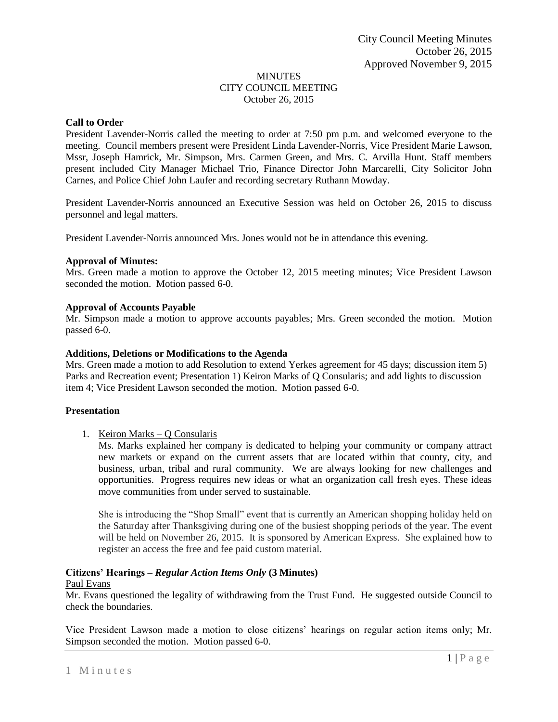## MINUTES CITY COUNCIL MEETING October 26, 2015

# **Call to Order**

President Lavender-Norris called the meeting to order at 7:50 pm p.m. and welcomed everyone to the meeting. Council members present were President Linda Lavender-Norris, Vice President Marie Lawson, Mssr, Joseph Hamrick, Mr. Simpson, Mrs. Carmen Green, and Mrs. C. Arvilla Hunt. Staff members present included City Manager Michael Trio, Finance Director John Marcarelli, City Solicitor John Carnes, and Police Chief John Laufer and recording secretary Ruthann Mowday.

President Lavender-Norris announced an Executive Session was held on October 26, 2015 to discuss personnel and legal matters.

President Lavender-Norris announced Mrs. Jones would not be in attendance this evening.

### **Approval of Minutes:**

Mrs. Green made a motion to approve the October 12, 2015 meeting minutes; Vice President Lawson seconded the motion. Motion passed 6-0.

### **Approval of Accounts Payable**

Mr. Simpson made a motion to approve accounts payables; Mrs. Green seconded the motion. Motion passed 6-0.

### **Additions, Deletions or Modifications to the Agenda**

Mrs. Green made a motion to add Resolution to extend Yerkes agreement for 45 days; discussion item 5) Parks and Recreation event; Presentation 1) Keiron Marks of Q Consularis; and add lights to discussion item 4; Vice President Lawson seconded the motion. Motion passed 6-0.

# **Presentation**

# 1. Keiron Marks – Q Consularis

Ms. Marks explained her company is dedicated to helping your community or company attract new markets or expand on the current assets that are located within that county, city, and business, urban, tribal and rural community. We are always looking for new challenges and opportunities. Progress requires new ideas or what an organization call fresh eyes. These ideas move communities from under served to sustainable.

She is introducing the "Shop Small" event that is currently an American shopping holiday held on the Saturday after Thanksgiving during one of the busiest shopping periods of the year. The event will be held on November 26, 2015. It is sponsored by American Express. She explained how to register an access the free and fee paid custom material.

# **Citizens' Hearings –** *Regular Action Items Only* **(3 Minutes)**

#### Paul Evans

Mr. Evans questioned the legality of withdrawing from the Trust Fund. He suggested outside Council to check the boundaries.

Vice President Lawson made a motion to close citizens' hearings on regular action items only; Mr. Simpson seconded the motion. Motion passed 6-0.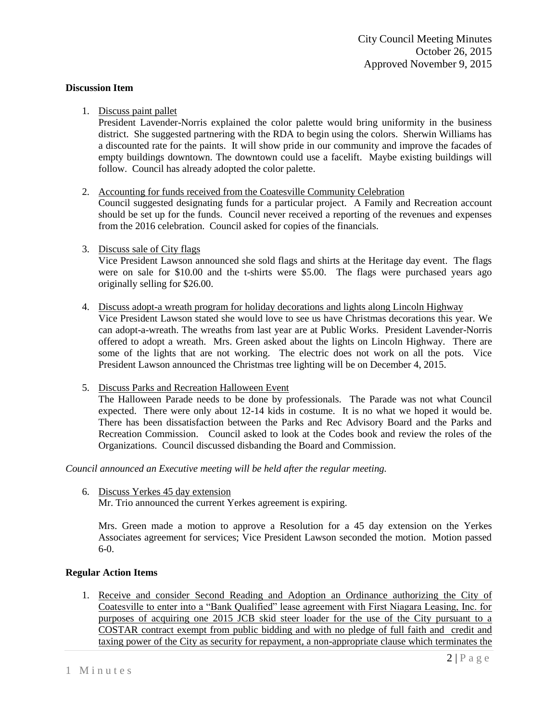## **Discussion Item**

# 1. Discuss paint pallet

President Lavender-Norris explained the color palette would bring uniformity in the business district. She suggested partnering with the RDA to begin using the colors. Sherwin Williams has a discounted rate for the paints. It will show pride in our community and improve the facades of empty buildings downtown. The downtown could use a facelift. Maybe existing buildings will follow. Council has already adopted the color palette.

# 2. Accounting for funds received from the Coatesville Community Celebration

Council suggested designating funds for a particular project. A Family and Recreation account should be set up for the funds. Council never received a reporting of the revenues and expenses from the 2016 celebration. Council asked for copies of the financials.

# 3. Discuss sale of City flags

Vice President Lawson announced she sold flags and shirts at the Heritage day event. The flags were on sale for \$10.00 and the t-shirts were \$5.00. The flags were purchased years ago originally selling for \$26.00.

# 4. Discuss adopt-a wreath program for holiday decorations and lights along Lincoln Highway

Vice President Lawson stated she would love to see us have Christmas decorations this year. We can adopt-a-wreath. The wreaths from last year are at Public Works. President Lavender-Norris offered to adopt a wreath. Mrs. Green asked about the lights on Lincoln Highway. There are some of the lights that are not working. The electric does not work on all the pots. Vice President Lawson announced the Christmas tree lighting will be on December 4, 2015.

# 5. Discuss Parks and Recreation Halloween Event

The Halloween Parade needs to be done by professionals. The Parade was not what Council expected. There were only about 12-14 kids in costume. It is no what we hoped it would be. There has been dissatisfaction between the Parks and Rec Advisory Board and the Parks and Recreation Commission. Council asked to look at the Codes book and review the roles of the Organizations. Council discussed disbanding the Board and Commission.

*Council announced an Executive meeting will be held after the regular meeting.* 

6. Discuss Yerkes 45 day extension

Mr. Trio announced the current Yerkes agreement is expiring.

Mrs. Green made a motion to approve a Resolution for a 45 day extension on the Yerkes Associates agreement for services; Vice President Lawson seconded the motion. Motion passed 6-0.

# **Regular Action Items**

1. Receive and consider Second Reading and Adoption an Ordinance authorizing the City of Coatesville to enter into a "Bank Qualified" lease agreement with First Niagara Leasing, Inc. for purposes of acquiring one 2015 JCB skid steer loader for the use of the City pursuant to a COSTAR contract exempt from public bidding and with no pledge of full faith and credit and taxing power of the City as security for repayment, a non-appropriate clause which terminates the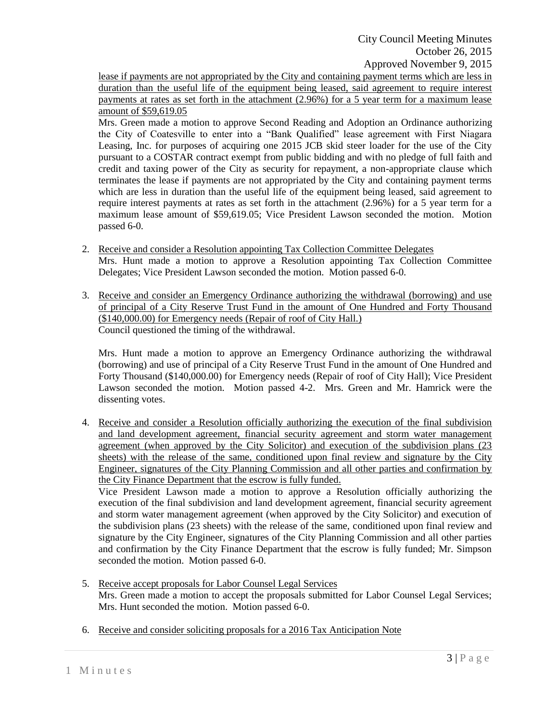lease if payments are not appropriated by the City and containing payment terms which are less in duration than the useful life of the equipment being leased, said agreement to require interest payments at rates as set forth in the attachment (2.96%) for a 5 year term for a maximum lease amount of \$59,619.05

Mrs. Green made a motion to approve Second Reading and Adoption an Ordinance authorizing the City of Coatesville to enter into a "Bank Qualified" lease agreement with First Niagara Leasing, Inc. for purposes of acquiring one 2015 JCB skid steer loader for the use of the City pursuant to a COSTAR contract exempt from public bidding and with no pledge of full faith and credit and taxing power of the City as security for repayment, a non-appropriate clause which terminates the lease if payments are not appropriated by the City and containing payment terms which are less in duration than the useful life of the equipment being leased, said agreement to require interest payments at rates as set forth in the attachment (2.96%) for a 5 year term for a maximum lease amount of \$59,619.05; Vice President Lawson seconded the motion. Motion passed 6-0.

- 2. Receive and consider a Resolution appointing Tax Collection Committee Delegates Mrs. Hunt made a motion to approve a Resolution appointing Tax Collection Committee Delegates; Vice President Lawson seconded the motion. Motion passed 6-0.
- 3. Receive and consider an Emergency Ordinance authorizing the withdrawal (borrowing) and use of principal of a City Reserve Trust Fund in the amount of One Hundred and Forty Thousand (\$140,000.00) for Emergency needs (Repair of roof of City Hall.) Council questioned the timing of the withdrawal.

Mrs. Hunt made a motion to approve an Emergency Ordinance authorizing the withdrawal (borrowing) and use of principal of a City Reserve Trust Fund in the amount of One Hundred and Forty Thousand (\$140,000.00) for Emergency needs (Repair of roof of City Hall); Vice President Lawson seconded the motion. Motion passed 4-2. Mrs. Green and Mr. Hamrick were the dissenting votes.

4. Receive and consider a Resolution officially authorizing the execution of the final subdivision and land development agreement, financial security agreement and storm water management agreement (when approved by the City Solicitor) and execution of the subdivision plans (23 sheets) with the release of the same, conditioned upon final review and signature by the City Engineer, signatures of the City Planning Commission and all other parties and confirmation by the City Finance Department that the escrow is fully funded.

Vice President Lawson made a motion to approve a Resolution officially authorizing the execution of the final subdivision and land development agreement, financial security agreement and storm water management agreement (when approved by the City Solicitor) and execution of the subdivision plans (23 sheets) with the release of the same, conditioned upon final review and signature by the City Engineer, signatures of the City Planning Commission and all other parties and confirmation by the City Finance Department that the escrow is fully funded; Mr. Simpson seconded the motion. Motion passed 6-0.

- 5. Receive accept proposals for Labor Counsel Legal Services Mrs. Green made a motion to accept the proposals submitted for Labor Counsel Legal Services; Mrs. Hunt seconded the motion. Motion passed 6-0.
- 6. Receive and consider soliciting proposals for a 2016 Tax Anticipation Note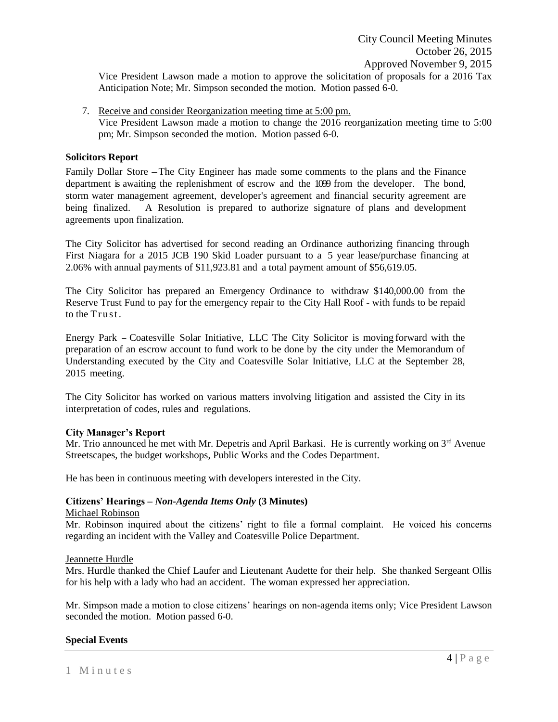Vice President Lawson made a motion to approve the solicitation of proposals for a 2016 Tax Anticipation Note; Mr. Simpson seconded the motion. Motion passed 6-0.

7. Receive and consider Reorganization meeting time at 5:00 pm. Vice President Lawson made a motion to change the 2016 reorganization meeting time to 5:00 pm; Mr. Simpson seconded the motion. Motion passed 6-0.

## **Solicitors Report**

Family Dollar Store -The City Engineer has made some comments to the plans and the Finance department is awaiting the replenishment of escrow and the 1099 from the developer. The bond, storm water management agreement, developer's agreement and financial security agreement are being finalized. A Resolution is prepared to authorize signature of plans and development agreements upon finalization.

The City Solicitor has advertised for second reading an Ordinance authorizing financing through First Niagara for a 2015 JCB 190 Skid Loader pursuant to a 5 year lease/purchase financing at 2.06% with annual payments of \$11,923.81 and a total payment amount of \$56,619.05.

The City Solicitor has prepared an Emergency Ordinance to withdraw \$140,000.00 from the Reserve Trust Fund to pay for the emergency repair to the City Hall Roof - with funds to be repaid to the Trust.

Energy Park - Coatesville Solar Initiative, LLC The City Solicitor is moving forward with the preparation of an escrow account to fund work to be done by the city under the Memorandum of Understanding executed by the City and Coatesville Solar Initiative, LLC at the September 28, 2015 meeting.

The City Solicitor has worked on various matters involving litigation and assisted the City in its interpretation of codes, rules and regulations.

#### **City Manager's Report**

Mr. Trio announced he met with Mr. Depetris and April Barkasi. He is currently working on  $3<sup>rd</sup>$  Avenue Streetscapes, the budget workshops, Public Works and the Codes Department.

He has been in continuous meeting with developers interested in the City.

### **Citizens' Hearings –** *Non-Agenda Items Only* **(3 Minutes)**

#### Michael Robinson

Mr. Robinson inquired about the citizens' right to file a formal complaint. He voiced his concerns regarding an incident with the Valley and Coatesville Police Department.

Jeannette Hurdle

Mrs. Hurdle thanked the Chief Laufer and Lieutenant Audette for their help. She thanked Sergeant Ollis for his help with a lady who had an accident. The woman expressed her appreciation.

Mr. Simpson made a motion to close citizens' hearings on non-agenda items only; Vice President Lawson seconded the motion. Motion passed 6-0.

#### **Special Events**